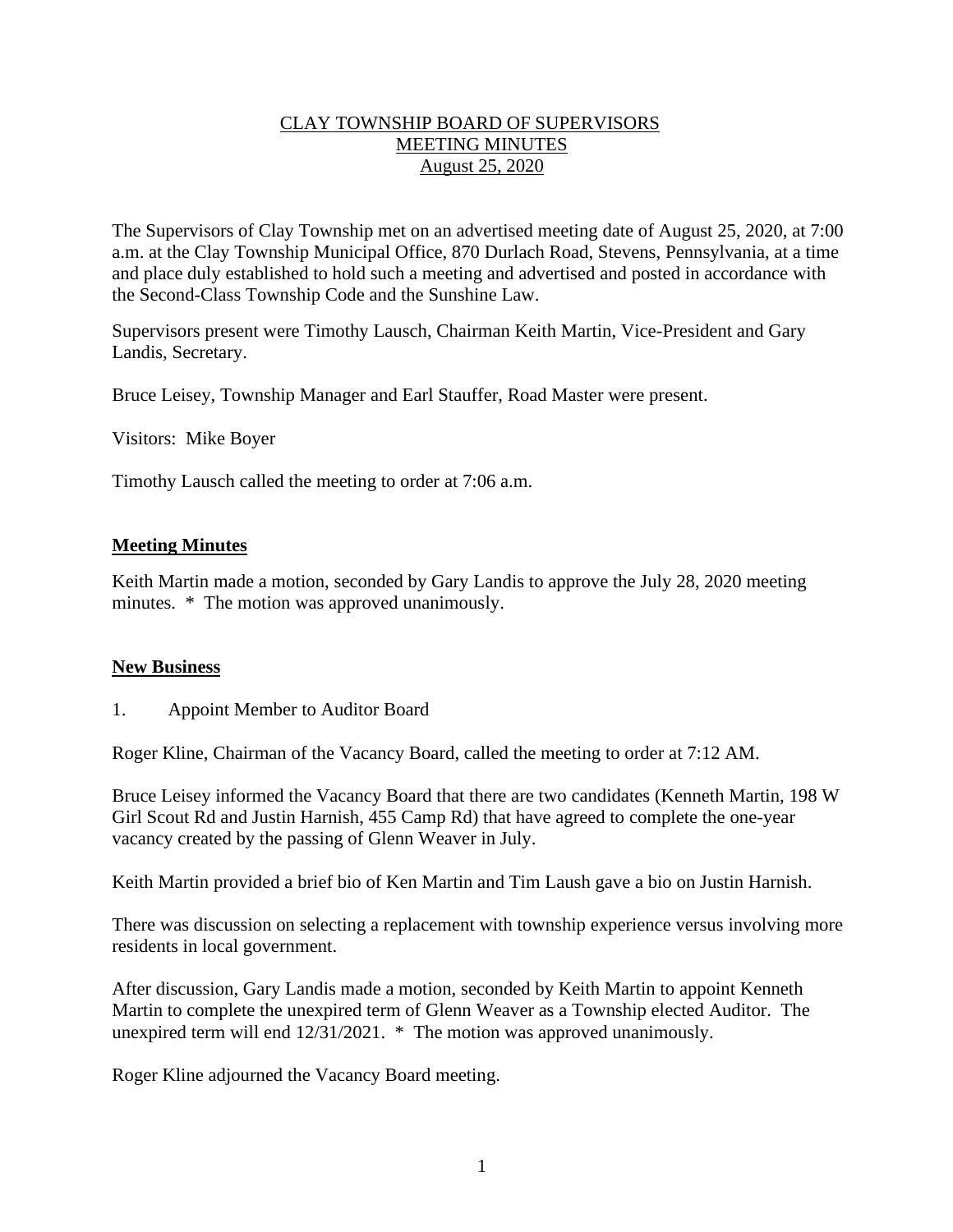#### CLAY TOWNSHIP BOARD OF SUPERVISORS MEETING MINUTES August 25, 2020

The Supervisors of Clay Township met on an advertised meeting date of August 25, 2020, at 7:00 a.m. at the Clay Township Municipal Office, 870 Durlach Road, Stevens, Pennsylvania, at a time and place duly established to hold such a meeting and advertised and posted in accordance with the Second-Class Township Code and the Sunshine Law.

Supervisors present were Timothy Lausch, Chairman Keith Martin, Vice-President and Gary Landis, Secretary.

Bruce Leisey, Township Manager and Earl Stauffer, Road Master were present.

Visitors: Mike Boyer

Timothy Lausch called the meeting to order at 7:06 a.m.

#### **Meeting Minutes**

Keith Martin made a motion, seconded by Gary Landis to approve the July 28, 2020 meeting minutes. \* The motion was approved unanimously.

#### **New Business**

1. Appoint Member to Auditor Board

Roger Kline, Chairman of the Vacancy Board, called the meeting to order at 7:12 AM.

Bruce Leisey informed the Vacancy Board that there are two candidates (Kenneth Martin, 198 W Girl Scout Rd and Justin Harnish, 455 Camp Rd) that have agreed to complete the one-year vacancy created by the passing of Glenn Weaver in July.

Keith Martin provided a brief bio of Ken Martin and Tim Laush gave a bio on Justin Harnish.

There was discussion on selecting a replacement with township experience versus involving more residents in local government.

After discussion, Gary Landis made a motion, seconded by Keith Martin to appoint Kenneth Martin to complete the unexpired term of Glenn Weaver as a Township elected Auditor. The unexpired term will end 12/31/2021. \* The motion was approved unanimously.

Roger Kline adjourned the Vacancy Board meeting.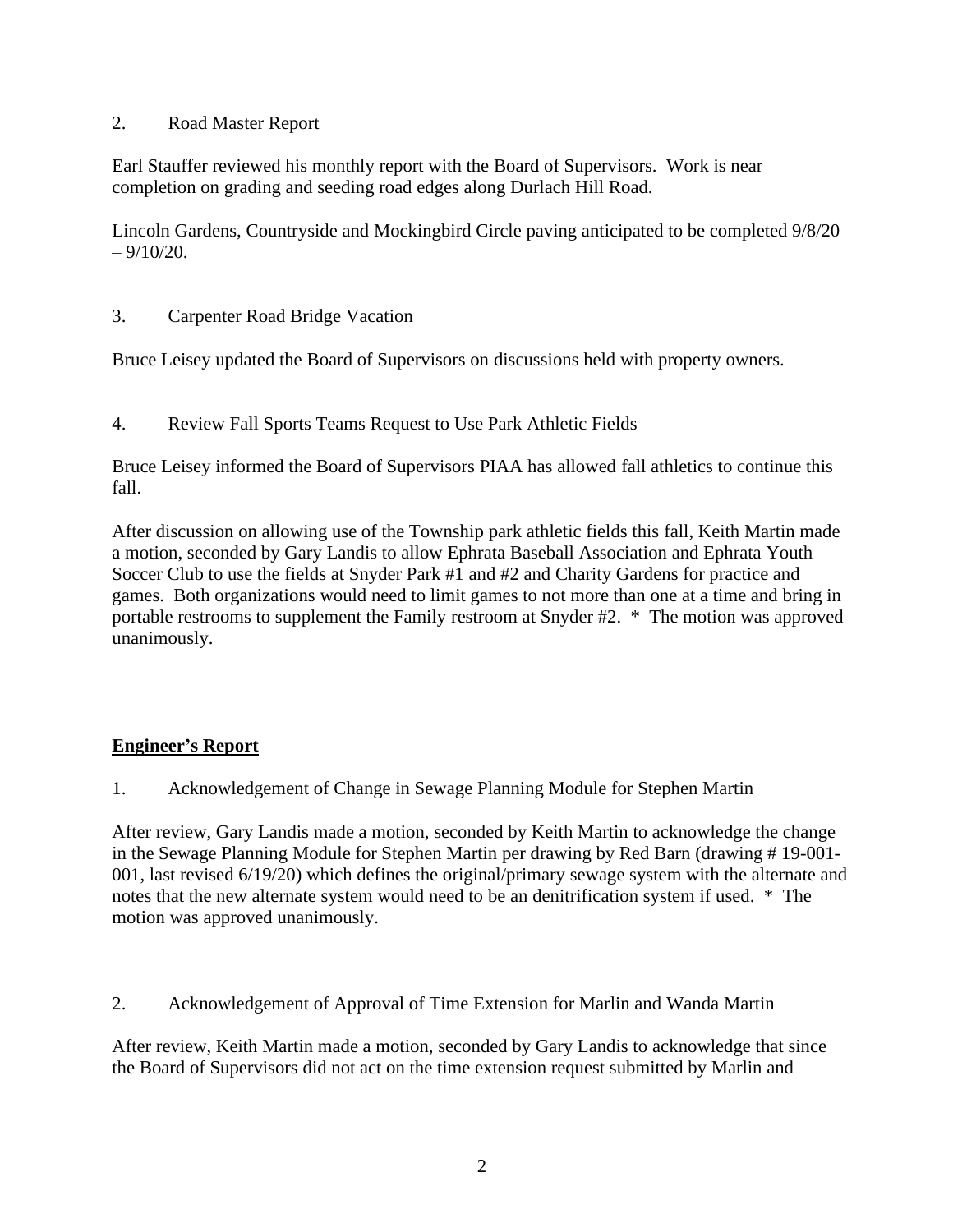### 2. Road Master Report

Earl Stauffer reviewed his monthly report with the Board of Supervisors. Work is near completion on grading and seeding road edges along Durlach Hill Road.

Lincoln Gardens, Countryside and Mockingbird Circle paving anticipated to be completed 9/8/20  $-9/10/20$ .

3. Carpenter Road Bridge Vacation

Bruce Leisey updated the Board of Supervisors on discussions held with property owners.

4. Review Fall Sports Teams Request to Use Park Athletic Fields

Bruce Leisey informed the Board of Supervisors PIAA has allowed fall athletics to continue this fall.

After discussion on allowing use of the Township park athletic fields this fall, Keith Martin made a motion, seconded by Gary Landis to allow Ephrata Baseball Association and Ephrata Youth Soccer Club to use the fields at Snyder Park #1 and #2 and Charity Gardens for practice and games. Both organizations would need to limit games to not more than one at a time and bring in portable restrooms to supplement the Family restroom at Snyder #2. \* The motion was approved unanimously.

## **Engineer's Report**

1. Acknowledgement of Change in Sewage Planning Module for Stephen Martin

After review, Gary Landis made a motion, seconded by Keith Martin to acknowledge the change in the Sewage Planning Module for Stephen Martin per drawing by Red Barn (drawing # 19-001- 001, last revised 6/19/20) which defines the original/primary sewage system with the alternate and notes that the new alternate system would need to be an denitrification system if used. \* The motion was approved unanimously.

2. Acknowledgement of Approval of Time Extension for Marlin and Wanda Martin

After review, Keith Martin made a motion, seconded by Gary Landis to acknowledge that since the Board of Supervisors did not act on the time extension request submitted by Marlin and